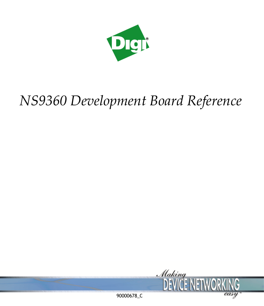

# *NS9360 Development Board Reference*

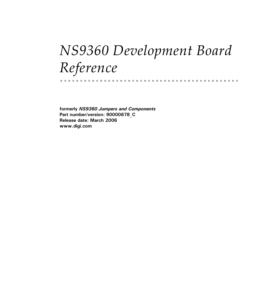# *NS9360 Development Board Reference*

**formerly** *NS9360 Jumpers and Components* **Part number/version: 90000678\_C Release date: March 2006 www.digi.com**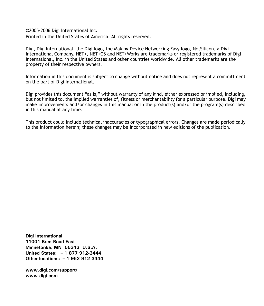©2005-2006 Digi International Inc. Printed in the United States of America. All rights reserved.

Digi, Digi International, the Digi logo, the Making Device Networking Easy logo, NetSilicon, a Digi International Company, NET+, NET+OS and NET+Works are trademarks or registered trademarks of Digi International, Inc. in the United States and other countries worldwide. All other trademarks are the property of their respective owners.

Information in this document is subject to change without notice and does not represent a committment on the part of Digi International.

Digi provides this document "as is," without warranty of any kind, either expressed or implied, including, but not limited to, the implied warranties of, fitness or merchantability for a particular purpose. Digi may make improvements and/or changes in this manual or in the product(s) and/or the program(s) described in this manual at any time.

This product could include technical inaccuracies or typographical errors. Changes are made periodically to the information herein; these changes may be incorporated in new editions of the publication.

**Digi International 11001 Bren Road East Minnetonka, MN 55343 U.S.A. United States: +1 877 912-3444 Other locations: +1 952 912-3444**

**www.digi.com/support/ www.digi.com**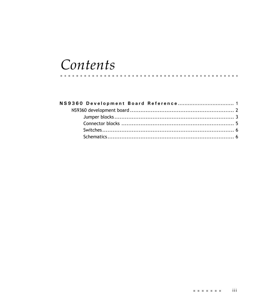## Contents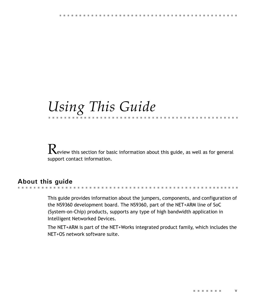## *Using This Guide*

 $\mathbf R$ eview this section for basic information about this guide, as well as for general support contact information.

## **About this guide**

This guide provides information about the jumpers, components, and configuration of the NS9360 development board. The NS9360, part of the NET+ARM line of SoC (System-on-Chip) products, supports any type of high bandwidth application in Intelligent Networked Devices.

The NET+ARM is part of the NET+Works integrated product family, which includes the NET+OS network software suite.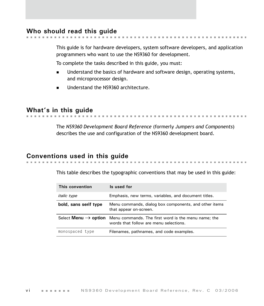## **Who should read this guide**

This guide is for hardware developers, system software developers, and application programmers who want to use the NS9360 for development.

To complete the tasks described in this guide, you must:

- **If** Understand the basics of hardware and software design, operating systems, and microprocessor design.
- **Understand the NS9360 architecture.**

## **What's in this guide**

The *NS9360 Development Board Reference* (formerly *Jumpers and Components*) describes the use and configuration of the NS9360 development board.

## **Conventions used in this guide**

This table describes the typographic conventions that may be used in this guide:

| This convention       | Is used for                                                                                                                                  |
|-----------------------|----------------------------------------------------------------------------------------------------------------------------------------------|
| <i>italic</i> type    | Emphasis, new terms, variables, and document titles.                                                                                         |
| bold, sans serif type | Menu commands, dialog box components, and other items<br>that appear on-screen.                                                              |
|                       | Select <b>Menu</b> $\rightarrow$ <b>option</b> Menu commands. The first word is the menu name; the<br>words that follow are menu selections. |
| monospaced type       | Filenames, pathnames, and code examples.                                                                                                     |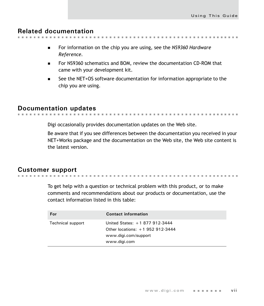. . . . . . . . . . . . . . . . . .

. . . . . . . . . . . . . . . .

## **Related documentation**

- - For information on the chip you are using, see the *NS9360 Hardware Reference.*
	- For NS9360 schematics and BOM, review the documentation CD-ROM that came with your development kit.
	- See the NET+OS software documentation for information appropriate to the chip you are using.

## **Documentation updates**

Digi occasionally provides documentation updates on the Web site.

Be aware that if you see differences between the documentation you received in your NET+Works package and the documentation on the Web site, the Web site content is the latest version.

. . . . . . . . . . . .

## **Customer support**

To get help with a question or technical problem with this product, or to make comments and recommendations about our products or documentation, use the contact information listed in this table:

| For               | <b>Contact information</b>                                                                                   |
|-------------------|--------------------------------------------------------------------------------------------------------------|
| Technical support | United States: +1 877 912-3444<br>Other locations: $+1$ 952 912-3444<br>www.digi.com/support<br>www.digi.com |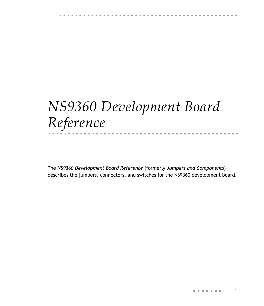## <span id="page-10-0"></span>*NS9360 Development Board Reference* 化电子电子电子

The *NS9360 Development Board Reference* (formerly *Jumpers and Components*) describes the jumpers, connectors, and switches for the NS9360 development board.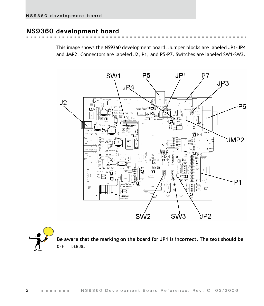## <span id="page-11-0"></span>**NS9360 development board**

This image shows the NS9360 development board. Jumper blocks are labeled JP1-JP4 and JMP2. Connectors are labeled J2, P1, and P5-P7. Switches are labeled SW1-SW3.



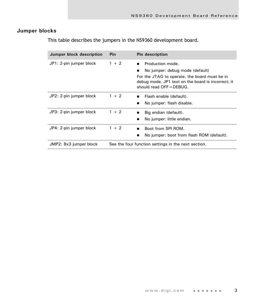## <span id="page-12-0"></span>**Jumper blocks**

This table describes the jumpers in the NS9360 development board.

| Jumper block description | Pin                                                 | <b>Pin description</b>                                                                                                                                                                                   |
|--------------------------|-----------------------------------------------------|----------------------------------------------------------------------------------------------------------------------------------------------------------------------------------------------------------|
| JP1: 2-pin jumper block  | $1 + 2$                                             | Production mode.<br>$\blacksquare$<br>No jumper: debug mode (default)<br>For the JTAG to operate, the board must be in<br>debug mode. JP1 text on the board is incorrect; it<br>should read OFF = DEBUG. |
| JP2: 2-pin jumper block  | $1 + 2$                                             | Flash enable (default).<br>$\blacksquare$<br>No jumper: flash disable.<br>п                                                                                                                              |
| JP3: 2-pin jumper block  | $1 + 2$                                             | Big endian (default).<br>■<br>No jumper: little endian.<br>■                                                                                                                                             |
| JP4: 2-pin jumper block  | $1 + 2$                                             | Boot from SPI ROM.<br>$\blacksquare$<br>No jumper: boot from flash ROM (default).                                                                                                                        |
| JMP2: 8x3 jumper block   | See the four function settings in the next section. |                                                                                                                                                                                                          |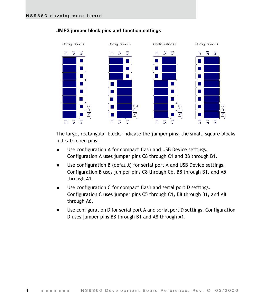

#### **JMP2 jumper block pins and function settings**

The large, rectangular blocks indicate the jumper pins; the small, square blocks indicate open pins.

- Use configuration A for compact flash and USB Device settings. Configuration A uses jumper pins C8 through C1 and B8 through B1.
- **Use configuration B (default) for serial port A and USB Device settings.** Configuration B uses jumper pins C8 through C6, B8 through B1, and A5 through A1.
- Use configuration C for compact flash and serial port D settings. Configuration C uses jumper pins C5 through C1, B8 through B1, and A8 through A6.
- Use configuration D for serial port A and serial port D settings. Configuration D uses jumper pins B8 through B1 and A8 through A1.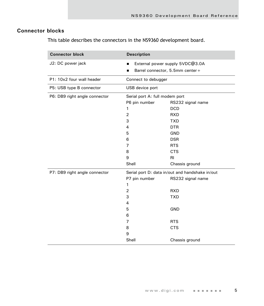### <span id="page-14-0"></span>**Connector blocks**

This table describes the connectors in the NS9360 development board.

| <b>Connector block</b>        | <b>Description</b>                              |                                  |  |
|-------------------------------|-------------------------------------------------|----------------------------------|--|
| J2: DC power jack             | $\blacksquare$                                  | External power supply 5VDC@3.0A  |  |
|                               | $\blacksquare$                                  | Barrel connector, 5.5mm center + |  |
| P1: 10x2 four wall header     | Connect to debugger                             |                                  |  |
| P5: USB type B connector      | USB device port                                 |                                  |  |
| P6: DB9 right angle connector | Serial port A: full modem port                  |                                  |  |
|                               | P6 pin number                                   | RS232 signal name                |  |
|                               | 1                                               | <b>DCD</b>                       |  |
|                               | $\overline{2}$                                  | <b>RXD</b>                       |  |
|                               | 3                                               | <b>TXD</b>                       |  |
|                               | 4                                               | <b>DTR</b>                       |  |
|                               | 5                                               | <b>GND</b>                       |  |
|                               | 6                                               | <b>DSR</b>                       |  |
|                               | 7                                               | <b>RTS</b>                       |  |
|                               | 8                                               | <b>CTS</b>                       |  |
|                               | 9                                               | <b>RI</b>                        |  |
|                               | Shell                                           | Chassis ground                   |  |
| P7: DB9 right angle connector | Serial port D: data in/out and handshake in/out |                                  |  |
|                               | P7 pin number                                   | RS232 signal name                |  |
|                               | 1                                               |                                  |  |
|                               | $\overline{2}$                                  | <b>RXD</b>                       |  |
|                               | 3                                               | <b>TXD</b>                       |  |
|                               | 4                                               |                                  |  |
|                               | 5                                               | <b>GND</b>                       |  |
|                               | 6                                               |                                  |  |
|                               | 7                                               | <b>RTS</b>                       |  |
|                               | 8                                               | <b>CTS</b>                       |  |
|                               | 9                                               |                                  |  |
|                               | Shell                                           | Chassis ground                   |  |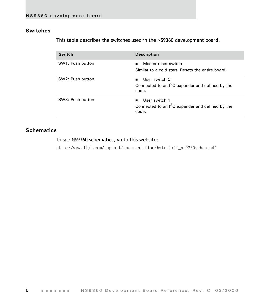### <span id="page-15-0"></span>**Switches**

This table describes the switches used in the NS9360 development board.

| <b>Switch</b>    | <b>Description</b>                                                                             |
|------------------|------------------------------------------------------------------------------------------------|
| SW1: Push button | Master reset switch<br>$\blacksquare$<br>Similar to a cold start. Resets the entire board.     |
| SW2: Push button | User switch 0<br>п.<br>Connected to an $I^2C$ expander and defined by the<br>code.             |
| SW3: Push button | User switch 1<br>$\blacksquare$<br>Connected to an $1^2C$ expander and defined by the<br>code. |

#### <span id="page-15-1"></span>**Schematics**

#### To see NS9360 schematics, go to this website:

http://www.digi.com/support/documentation/hwtoolkit\_ns9360schem.pdf